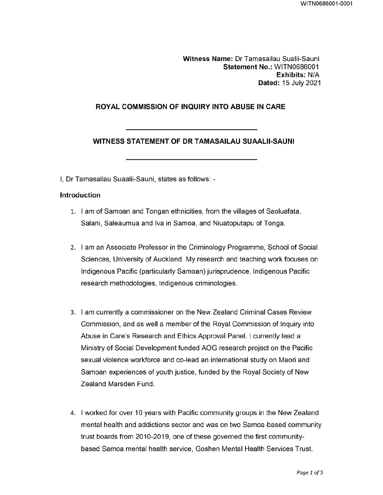Witness Name: Dr Tamasailau Sualii-Sauni Statement No.: WITN0686001 Exhibits: N/A Dated: 15 July 2021

## ROYAL COMMISSION OF INQUIRY INTO ABUSE IN CARE

### WITNESS STATEMENT OF DR TAMASAILAU SUAALII-SAUNI

I, Dr Tamasailau Suaalii-Sauni, states as follows: -

#### Introduction

- 1. I am of Samoan and Tongan ethnicities, from the villages of Saoluafata, Salani, Saleaumua and Iva in Samoa, and Nivatoputapu of Tonga.
- 2. I am an Associate Professor in the Criminology Programme, School of Social Sciences, University of Auckland. My research and teaching work focuses on Indigenous Pacific (particularly Samoan) jurisprudence, Indigenous Pacific research methodologies, Indigenous criminologies.
- 3. I am currently a commissioner on the New Zealand Criminal Cases Review Commission, and as well a member of the Royal Commission of Inquiry into Abuse in Care's Research and Ethics Approval Panel. I currently lead a Ministry of Social Development funded AOG research project on the Pacific sexual violence workforce and co-lead an international study on Maori and Samoan experiences of youth justice, funded by the Royal Society of New Zealand Marsden Fund.
- 4. I worked for over 10 years with Pacific community groups in the New Zealand mental health and addictions sector and was on two Samoa-based community trust boards from 2010-2019, one of these governed the first communitybased Samoa mental health service, Goshen Mental Health Services Trust.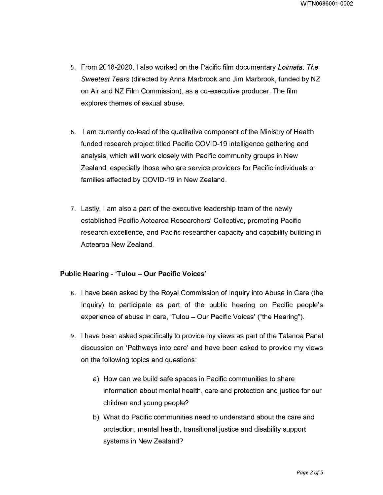- 5. From 2018-2020, I also worked on the Pacific film documentary Loimata: The Sweetest Tears (directed by Anna Marbrook and Jim Marbrook, funded by NZ on Air and NZ Film Commission), as a co-executive producer. The film explores themes of sexual abuse.
- 6. I am currently co-lead of the qualitative component of the Ministry of Health funded research project titled Pacific COVID-19 intelligence gathering and analysis, which will work closely with Pacific community groups in New Zealand, especially those who are service providers for Pacific individuals or families affected by COVID-19 in New Zealand.
- 7. Lastly, I am also a part of the executive leadership team of the newly established Pacific Aotearoa Researchers' Collective, promoting Pacific research excellence, and Pacific researcher capacity and capability building in Aotearoa New Zealand.

## Public Hearing - 'Tulou - Our Pacific Voices'

- 8. I have been asked by the Royal Commission of Inquiry into Abuse in Care (the Inquiry) to participate as part of the public hearing on Pacific people's experience of abuse in care, 'Tulou - Our Pacific Voices' ("the Hearing").
- 9. I have been asked specifically to provide my views as part of the Talanoa Panel discussion on 'Pathways into care' and have been asked to provide my views on the following topics and questions:
	- a) How can we build safe spaces in Pacific communities to share information about mental health, care and protection and justice for our children and young people?
	- b) What do Pacific communities need to understand about the care and protection, mental health, transitional justice and disability support systems in New Zealand?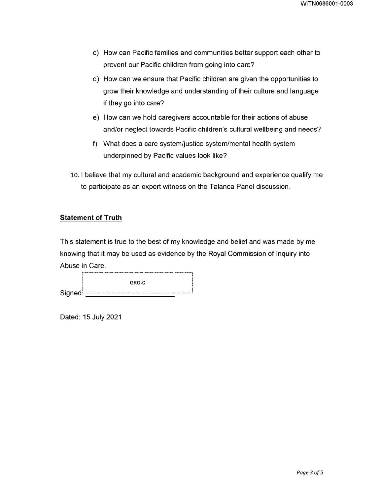- c) How can Pacific families and communities better support each other to prevent our Pacific children from going into care?
- d) How can we ensure that Pacific children are given the opportunities to grow their knowledge and understanding of their culture and language if they go into care?
- e) How can we hold caregivers accountable for their actions of abuse and/or neglect towards Pacific children's cultural wellbeing and needs?
- f) What does a care system/justice system/mental health system underpinned by Pacific values look like?
- 10. I believe that my cultural and academic background and experience qualify me to participate as an expert witness on the Talanoa Panel discussion.

## Statement of Truth

This statement is true to the best of my knowledge and belief and was made by me knowing that it may be used as evidence by the Royal Commission of Inquiry into Abuse in Care.

|             | 2012 - 2010 - 2010 - 2010 - 2010 - 2010 - 2010 - 2010 - 2010 - 2010 - 2010 - 2010 - 2010 - 2010 - 20 |
|-------------|------------------------------------------------------------------------------------------------------|
|             | GRO-C                                                                                                |
| Signed<br>. |                                                                                                      |

Dated: 15 July 2021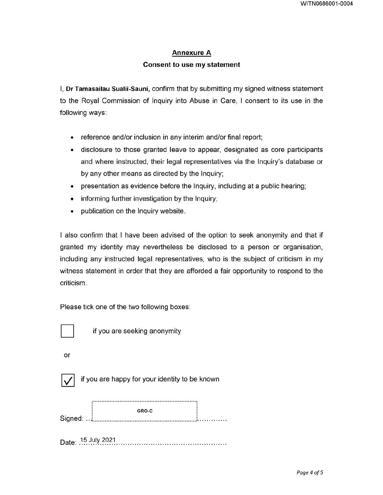## Annexure A

# Consent to use my statement

I, Dr Tamasailau Sualii-Sauni, confirm that by submitting my signed witness statement to the Royal Commission of Inquiry into Abuse in Care, I consent to its use in the following ways:

- reference and/or inclusion in any interim and/or final report;
- disclosure to those granted leave to appear, designated as core participants and where instructed, their legal representatives via the Inquiry's database or by any other means as directed by the Inquiry;
- presentation as evidence before the Inquiry, including at a public hearing;
- informing further investigation by the Inquiry;
- publication on the Inquiry website.

I also confirm that I have been advised of the option to seek anonymity and that if granted my identity may nevertheless be disclosed to a person or organisation, including any instructed legal representatives, who is the subject of criticism in my witness statement in order that they are afforded a fair opportunity to respond to the criticism.

Please tick one of the two following boxes:



if you are seeking anonymity

or



if you are happy for your identity to be known

|         | GRO-C |  |
|---------|-------|--|
| Sianed: |       |  |

Date: 15 July 2021